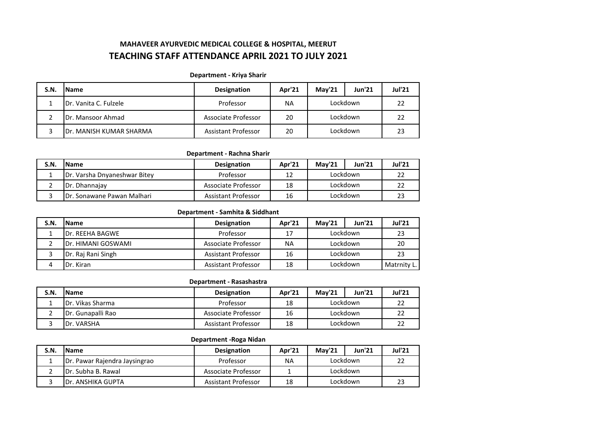# **MAHAVEER AYURVEDIC MEDICAL COLLEGE & HOSPITAL, MEERUT TEACHING STAFF ATTENDANCE APRIL 2021 TO JULY 2021**

#### **Department - Kriya Sharir**

| S.N. | <b>Name</b>             | <b>Designation</b>         | Apr'21 | <b>Mav'21</b> | <b>Jun'21</b> | <b>Jul'21</b> |
|------|-------------------------|----------------------------|--------|---------------|---------------|---------------|
|      | Dr. Vanita C. Fulzele   | Professor                  | ΝA     | Lockdown      |               |               |
|      | Dr. Mansoor Ahmad       | Associate Professor        | 20     | Lockdown      |               |               |
|      | Dr. MANISH KUMAR SHARMA | <b>Assistant Professor</b> | 20     | Lockdown      |               |               |

# **Department - Rachna Sharir**

| S.N. | <b>Name</b>                  | <b>Designation</b>  | Apr'21 | <b>Mav'21</b> | <b>Jun'21</b> | <b>Jul'21</b> |
|------|------------------------------|---------------------|--------|---------------|---------------|---------------|
|      | Dr. Varsha Dnyaneshwar Bitey | Professor           | 12     | Lockdown      |               |               |
|      | Dr. Dhannajay                | Associate Professor | 18     | Lockdown      |               |               |
|      | IDr. Sonawane Pawan Malhari  | Assistant Professor | 16     | Lockdown      |               |               |

## **Department - Samhita & Siddhant**

| S.N. | <b>Name</b>                | <b>Designation</b>         | Apr'21 | <b>Mav'21</b> | <b>Jun'21</b> | <b>Jul'21</b> |
|------|----------------------------|----------------------------|--------|---------------|---------------|---------------|
|      | <b>IDr. REEHA BAGWE</b>    | Professor                  | 17     | Lockdown      |               | 23            |
|      | <b>IDr. HIMANI GOSWAMI</b> | Associate Professor        | ΝA     | Lockdown      |               | 20            |
|      | Dr. Raj Rani Singh         | <b>Assistant Professor</b> | 16     | Lockdown      |               | 23            |
|      | Dr. Kiran                  | <b>Assistant Professor</b> | 18     | Lockdown      |               | Matrnity L.   |

# **Department - Rasashastra**

| S.N. | <b>Name</b>               | <b>Designation</b>  | Apr'21 | Mav'21   | <b>Jun'21</b> | <b>Jul'21</b> |
|------|---------------------------|---------------------|--------|----------|---------------|---------------|
|      | IDr. Vikas Sharma         | Professor           | 18     | Lockdown |               |               |
|      | <b>IDr. Gunapalli Rao</b> | Associate Professor | 16     | Lockdown |               |               |
|      | Dr. VARSHA                | Assistant Professor | 18     | Lockdown |               | LL            |

# **Department -Roga Nidan**

| S.N. | <b>Name</b>                   | <b>Designation</b>  | Apr'21 | Mav'21   | <b>Jun'21</b> | <b>Jul'21</b> |
|------|-------------------------------|---------------------|--------|----------|---------------|---------------|
|      | Dr. Pawar Rajendra Jaysingrao | Professor           | ΝA     | Lockdown |               |               |
|      | <b>IDr. Subha B. Rawal</b>    | Associate Professor |        | Lockdown |               |               |
|      | IDr. ANSHIKA GUPTA            | Assistant Professor | 18     | Lockdown |               |               |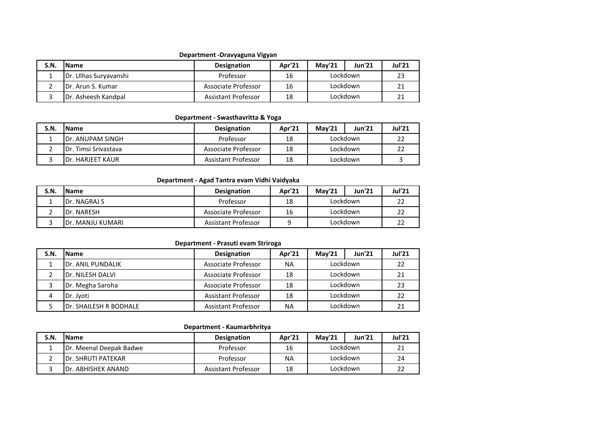#### **Department -Dravyaguna Vigyan**

| S.N. | <b>Name</b>                 | <b>Designation</b>         | Apr'21 | <b>Mav'21</b> | <b>Jun'21</b> | <b>Jul'21</b> |
|------|-----------------------------|----------------------------|--------|---------------|---------------|---------------|
|      | Dr. Ulhas Suryavanshi       | Professor                  | 16     | Lockdown      |               | 23            |
|      | <b>IDr. Arun S. Kumar</b>   | Associate Professor        | 16     | Lockdown      |               |               |
|      | <b>IDr. Asheesh Kandpal</b> | <b>Assistant Professor</b> | 18     | Lockdown      |               |               |

#### **Department - Swasthavritta & Yoga**

| S.N. | <b>Name</b>                  | <b>Designation</b>  | Apr'21 | <b>Mav'21</b> | <b>Jun'21</b> | <b>Jul'21</b> |
|------|------------------------------|---------------------|--------|---------------|---------------|---------------|
|      | <b>IDr. ANUPAM SINGH</b>     | Professor           | 18     | Lockdown      |               |               |
|      | <b>IDr. Timsi Srivastava</b> | Associate Professor | 18     | Lockdown      |               |               |
|      | <b>IDr. HARJEET KAUR</b>     | Assistant Professor | 18     | Lockdown      |               |               |

## **Department - Agad Tantra evam Vidhi Vaidyaka**

| S.N. | <b>IName</b>      | <b>Designation</b>  | Apr'21 | <b>Mav'21</b> | <b>Jun'21</b> | <b>Jul'21</b> |
|------|-------------------|---------------------|--------|---------------|---------------|---------------|
|      | IDr. NAGRAJ S     | Professor           | 18     | Lockdown      |               | 22            |
|      | Dr. NARESH        | Associate Professor | 16     | Lockdown      |               | 22            |
|      | IDr. MANJU KUMARI | Assistant Professor |        | Lockdown      |               | 22            |

#### **Department - Prasuti evam Striroga**

| S.N. | <b>Name</b>                     | <b>Designation</b>         | Apr'21    | Mav'21   | <b>Jun'21</b> | <b>Jul'21</b> |
|------|---------------------------------|----------------------------|-----------|----------|---------------|---------------|
|      | <b>IDr. ANIL PUNDALIK</b>       | Associate Professor        | <b>NA</b> | Lockdown |               | 22            |
|      | Dr. NILESH DALVI                | Associate Professor        | 18        | Lockdown | 21            |               |
|      | Dr. Megha Saroha                | Associate Professor        | 18        | Lockdown |               | 23            |
| 4    | Dr. Jyoti                       | <b>Assistant Professor</b> | 18        | Lockdown |               | 22            |
|      | <b>I</b> Dr. SHAILESH R BODHALE | <b>Assistant Professor</b> | <b>NA</b> | Lockdown |               |               |

#### **Department - Kaumarbhritya**

| S.N. | <b>Name</b>                | <b>Designation</b>  | Apr'21    | <b>Mav'21</b> | <b>Jun'21</b> | <b>Jul'21</b> |
|------|----------------------------|---------------------|-----------|---------------|---------------|---------------|
|      | IDr. Meenal Deepak Badwe   | Professor           | 16        | Lockdown      |               |               |
|      | <b>IDr. SHRUTI PATEKAR</b> | Professor           | <b>NA</b> | Lockdown      |               | 24            |
|      | IDr. ABHISHEK ANAND        | Assistant Professor | 18        | Lockdown      |               |               |